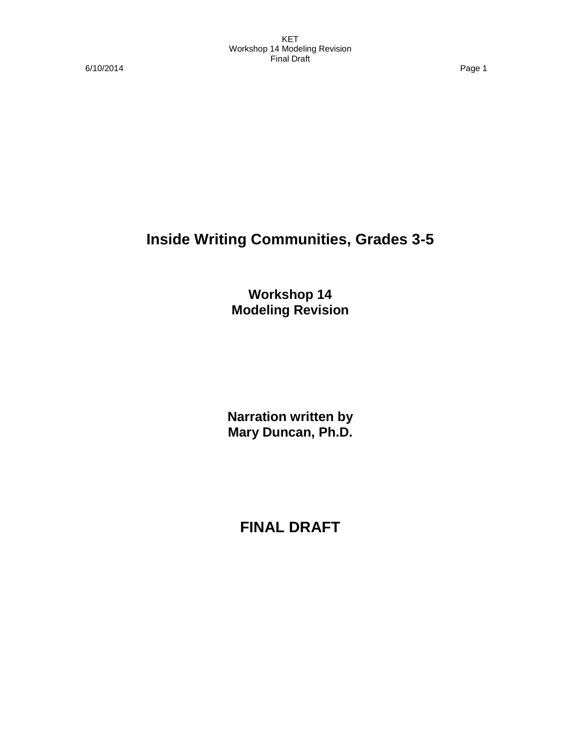6/10/2014 Page 1

# **Inside Writing Communities, Grades 3-5**

**Workshop 14 Modeling Revision**

**Narration written by Mary Duncan, Ph.D.**

**FINAL DRAFT**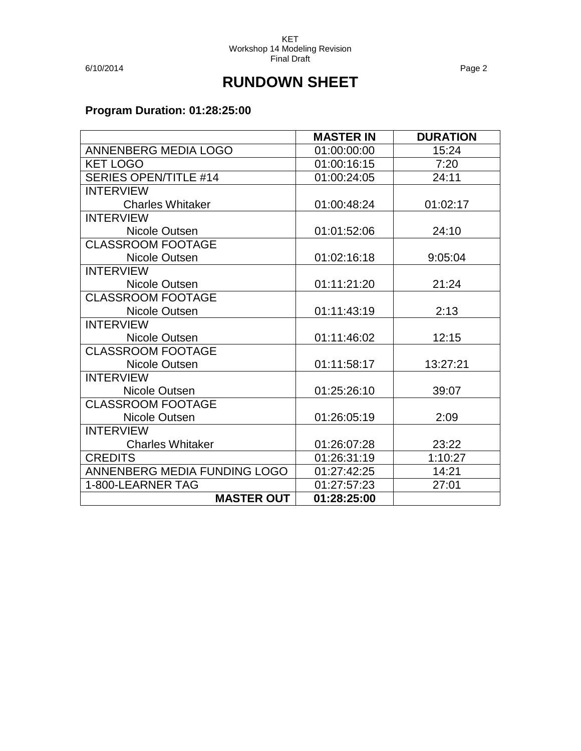6/10/2014 Page 2

## **RUNDOWN SHEET**

### **Program Duration: 01:28:25:00**

|                              | <b>MASTER IN</b> | <b>DURATION</b> |
|------------------------------|------------------|-----------------|
| ANNENBERG MEDIA LOGO         | 01:00:00:00      | 15:24           |
| <b>KET LOGO</b>              | 01:00:16:15      | 7:20            |
| <b>SERIES OPEN/TITLE #14</b> | 01:00:24:05      | 24:11           |
| <b>INTERVIEW</b>             |                  |                 |
| <b>Charles Whitaker</b>      | 01:00:48:24      | 01:02:17        |
| <b>INTERVIEW</b>             |                  |                 |
| Nicole Outsen                | 01:01:52:06      | 24:10           |
| <b>CLASSROOM FOOTAGE</b>     |                  |                 |
| Nicole Outsen                | 01:02:16:18      | 9:05:04         |
| <b>INTERVIEW</b>             |                  |                 |
| Nicole Outsen                | 01:11:21:20      | 21:24           |
| <b>CLASSROOM FOOTAGE</b>     |                  |                 |
| Nicole Outsen                | 01:11:43:19      | 2:13            |
| <b>INTERVIEW</b>             |                  |                 |
| Nicole Outsen                | 01:11:46:02      | 12:15           |
| <b>CLASSROOM FOOTAGE</b>     |                  |                 |
| Nicole Outsen                | 01:11:58:17      | 13:27:21        |
| <b>INTERVIEW</b>             |                  |                 |
| Nicole Outsen                | 01:25:26:10      | 39:07           |
| <b>CLASSROOM FOOTAGE</b>     |                  |                 |
| Nicole Outsen                | 01:26:05:19      | 2:09            |
| <b>INTERVIEW</b>             |                  |                 |
| <b>Charles Whitaker</b>      | 01:26:07:28      | 23:22           |
| <b>CREDITS</b>               | 01:26:31:19      | 1:10:27         |
| ANNENBERG MEDIA FUNDING LOGO | 01:27:42:25      | 14:21           |
| 1-800-LEARNER TAG            | 01:27:57:23      | 27:01           |
| <b>MASTER OUT</b>            | 01:28:25:00      |                 |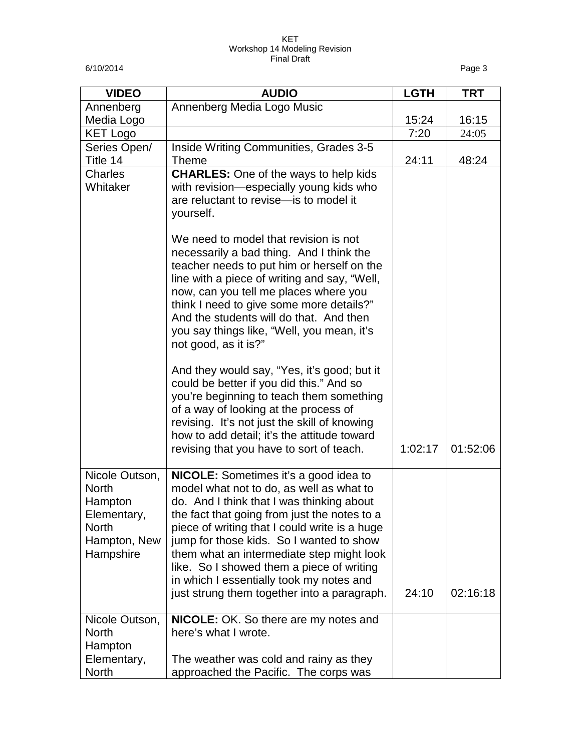6/10/2014 Page 3

| <b>VIDEO</b>                                                                                          | <b>AUDIO</b>                                                                                                                                                                                                                                                                                                                                                                                                                                                            | <b>LGTH</b> | <b>TRT</b> |
|-------------------------------------------------------------------------------------------------------|-------------------------------------------------------------------------------------------------------------------------------------------------------------------------------------------------------------------------------------------------------------------------------------------------------------------------------------------------------------------------------------------------------------------------------------------------------------------------|-------------|------------|
| Annenberg                                                                                             | Annenberg Media Logo Music                                                                                                                                                                                                                                                                                                                                                                                                                                              |             |            |
| Media Logo                                                                                            |                                                                                                                                                                                                                                                                                                                                                                                                                                                                         | 15:24       | 16:15      |
| <b>KET Logo</b>                                                                                       |                                                                                                                                                                                                                                                                                                                                                                                                                                                                         | 7:20        | 24:05      |
| Series Open/                                                                                          | Inside Writing Communities, Grades 3-5                                                                                                                                                                                                                                                                                                                                                                                                                                  |             |            |
| Title 14                                                                                              | <b>Theme</b>                                                                                                                                                                                                                                                                                                                                                                                                                                                            | 24:11       | 48:24      |
| Charles<br>Whitaker                                                                                   | <b>CHARLES:</b> One of the ways to help kids<br>with revision-especially young kids who<br>are reluctant to revise-is to model it<br>yourself.                                                                                                                                                                                                                                                                                                                          |             |            |
|                                                                                                       | We need to model that revision is not<br>necessarily a bad thing. And I think the<br>teacher needs to put him or herself on the<br>line with a piece of writing and say, "Well,<br>now, can you tell me places where you<br>think I need to give some more details?"<br>And the students will do that. And then<br>you say things like, "Well, you mean, it's<br>not good, as it is?"                                                                                   |             |            |
|                                                                                                       | And they would say, "Yes, it's good; but it<br>could be better if you did this." And so<br>you're beginning to teach them something<br>of a way of looking at the process of<br>revising. It's not just the skill of knowing<br>how to add detail; it's the attitude toward<br>revising that you have to sort of teach.                                                                                                                                                 | 1:02:17     | 01:52:06   |
| Nicole Outson,<br><b>North</b><br>Hampton<br>Elementary,<br><b>North</b><br>Hampton, New<br>Hampshire | <b>NICOLE:</b> Sometimes it's a good idea to<br>model what not to do, as well as what to<br>do. And I think that I was thinking about<br>the fact that going from just the notes to a<br>piece of writing that I could write is a huge<br>jump for those kids. So I wanted to show<br>them what an intermediate step might look<br>like. So I showed them a piece of writing<br>in which I essentially took my notes and<br>just strung them together into a paragraph. | 24:10       | 02:16:18   |
| Nicole Outson,<br><b>North</b><br>Hampton                                                             | <b>NICOLE:</b> OK. So there are my notes and<br>here's what I wrote.                                                                                                                                                                                                                                                                                                                                                                                                    |             |            |
| Elementary,<br>North                                                                                  | The weather was cold and rainy as they<br>approached the Pacific. The corps was                                                                                                                                                                                                                                                                                                                                                                                         |             |            |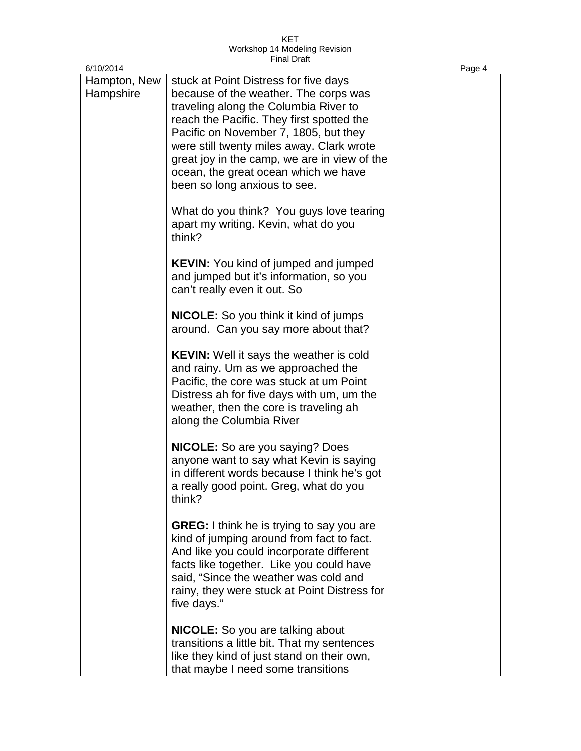| 6/10/2014                 |                                                                                                                                                                                                                                                                                                                                                                                    | Page 4 |
|---------------------------|------------------------------------------------------------------------------------------------------------------------------------------------------------------------------------------------------------------------------------------------------------------------------------------------------------------------------------------------------------------------------------|--------|
| Hampton, New<br>Hampshire | stuck at Point Distress for five days<br>because of the weather. The corps was<br>traveling along the Columbia River to<br>reach the Pacific. They first spotted the<br>Pacific on November 7, 1805, but they<br>were still twenty miles away. Clark wrote<br>great joy in the camp, we are in view of the<br>ocean, the great ocean which we have<br>been so long anxious to see. |        |
|                           | What do you think? You guys love tearing<br>apart my writing. Kevin, what do you<br>think?                                                                                                                                                                                                                                                                                         |        |
|                           | <b>KEVIN:</b> You kind of jumped and jumped<br>and jumped but it's information, so you<br>can't really even it out. So                                                                                                                                                                                                                                                             |        |
|                           | <b>NICOLE:</b> So you think it kind of jumps<br>around. Can you say more about that?                                                                                                                                                                                                                                                                                               |        |
|                           | <b>KEVIN:</b> Well it says the weather is cold<br>and rainy. Um as we approached the<br>Pacific, the core was stuck at um Point<br>Distress ah for five days with um, um the<br>weather, then the core is traveling ah<br>along the Columbia River                                                                                                                                 |        |
|                           | <b>NICOLE:</b> So are you saying? Does<br>anyone want to say what Kevin is saying<br>in different words because I think he's got<br>a really good point. Greg, what do you<br>think?                                                                                                                                                                                               |        |
|                           | <b>GREG:</b> I think he is trying to say you are<br>kind of jumping around from fact to fact.<br>And like you could incorporate different<br>facts like together. Like you could have<br>said, "Since the weather was cold and<br>rainy, they were stuck at Point Distress for<br>five days."                                                                                      |        |
|                           | <b>NICOLE:</b> So you are talking about<br>transitions a little bit. That my sentences<br>like they kind of just stand on their own,<br>that maybe I need some transitions                                                                                                                                                                                                         |        |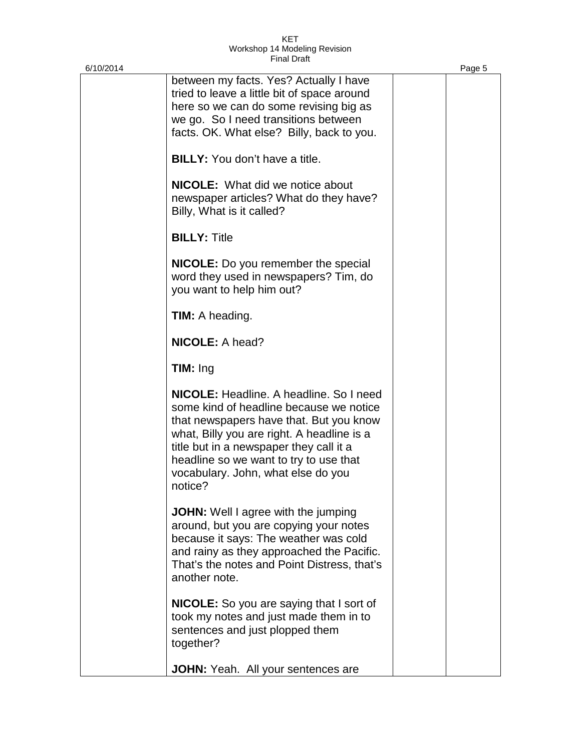| 6/10/2014 |                                                                                                                                                                                                                                                                                                                          | Page 5 |
|-----------|--------------------------------------------------------------------------------------------------------------------------------------------------------------------------------------------------------------------------------------------------------------------------------------------------------------------------|--------|
|           | between my facts. Yes? Actually I have<br>tried to leave a little bit of space around<br>here so we can do some revising big as<br>we go. So I need transitions between<br>facts. OK. What else? Billy, back to you.                                                                                                     |        |
|           | <b>BILLY:</b> You don't have a title.                                                                                                                                                                                                                                                                                    |        |
|           | <b>NICOLE:</b> What did we notice about<br>newspaper articles? What do they have?<br>Billy, What is it called?                                                                                                                                                                                                           |        |
|           | <b>BILLY: Title</b>                                                                                                                                                                                                                                                                                                      |        |
|           | <b>NICOLE:</b> Do you remember the special<br>word they used in newspapers? Tim, do<br>you want to help him out?                                                                                                                                                                                                         |        |
|           | <b>TIM:</b> A heading.                                                                                                                                                                                                                                                                                                   |        |
|           | <b>NICOLE: A head?</b>                                                                                                                                                                                                                                                                                                   |        |
|           | $TIM:$ Ing                                                                                                                                                                                                                                                                                                               |        |
|           | <b>NICOLE:</b> Headline, A headline, So I need<br>some kind of headline because we notice<br>that newspapers have that. But you know<br>what, Billy you are right. A headline is a<br>title but in a newspaper they call it a<br>headline so we want to try to use that<br>vocabulary. John, what else do you<br>notice? |        |
|           | <b>JOHN:</b> Well I agree with the jumping<br>around, but you are copying your notes<br>because it says: The weather was cold<br>and rainy as they approached the Pacific.<br>That's the notes and Point Distress, that's<br>another note.                                                                               |        |
|           | <b>NICOLE:</b> So you are saying that I sort of<br>took my notes and just made them in to<br>sentences and just plopped them<br>together?                                                                                                                                                                                |        |
|           | JOHN: Yeah. All your sentences are                                                                                                                                                                                                                                                                                       |        |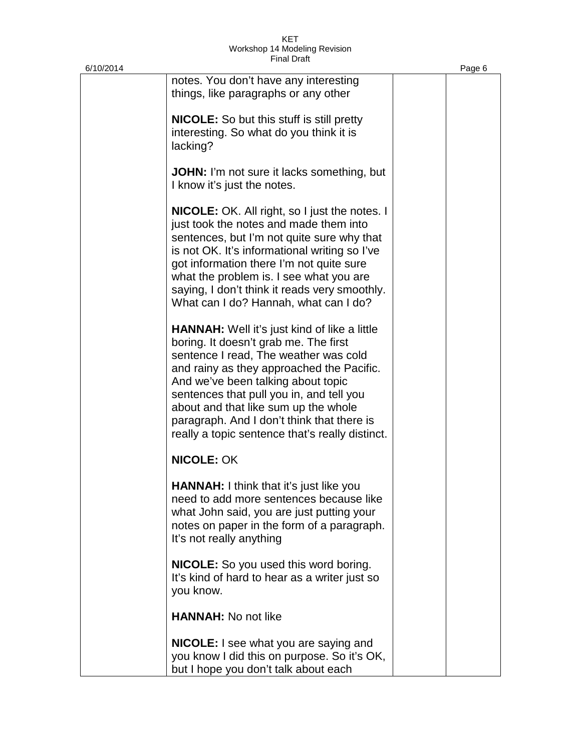| 6/10/2014 |                                                                                                                                                                                                                                                                                                                                                                                                               | Page 6 |
|-----------|---------------------------------------------------------------------------------------------------------------------------------------------------------------------------------------------------------------------------------------------------------------------------------------------------------------------------------------------------------------------------------------------------------------|--------|
|           | notes. You don't have any interesting<br>things, like paragraphs or any other                                                                                                                                                                                                                                                                                                                                 |        |
|           | <b>NICOLE:</b> So but this stuff is still pretty<br>interesting. So what do you think it is<br>lacking?                                                                                                                                                                                                                                                                                                       |        |
|           | <b>JOHN:</b> I'm not sure it lacks something, but<br>I know it's just the notes.                                                                                                                                                                                                                                                                                                                              |        |
|           | <b>NICOLE:</b> OK. All right, so I just the notes. I<br>just took the notes and made them into<br>sentences, but I'm not quite sure why that<br>is not OK. It's informational writing so I've<br>got information there I'm not quite sure<br>what the problem is. I see what you are<br>saying, I don't think it reads very smoothly.<br>What can I do? Hannah, what can I do?                                |        |
|           | <b>HANNAH:</b> Well it's just kind of like a little<br>boring. It doesn't grab me. The first<br>sentence I read, The weather was cold<br>and rainy as they approached the Pacific.<br>And we've been talking about topic<br>sentences that pull you in, and tell you<br>about and that like sum up the whole<br>paragraph. And I don't think that there is<br>really a topic sentence that's really distinct. |        |
|           | <b>NICOLE: OK</b>                                                                                                                                                                                                                                                                                                                                                                                             |        |
|           | <b>HANNAH:</b> I think that it's just like you<br>need to add more sentences because like<br>what John said, you are just putting your<br>notes on paper in the form of a paragraph.<br>It's not really anything                                                                                                                                                                                              |        |
|           | NICOLE: So you used this word boring.<br>It's kind of hard to hear as a writer just so<br>you know.                                                                                                                                                                                                                                                                                                           |        |
|           | <b>HANNAH:</b> No not like                                                                                                                                                                                                                                                                                                                                                                                    |        |
|           | <b>NICOLE:</b> I see what you are saying and<br>you know I did this on purpose. So it's OK,<br>but I hope you don't talk about each                                                                                                                                                                                                                                                                           |        |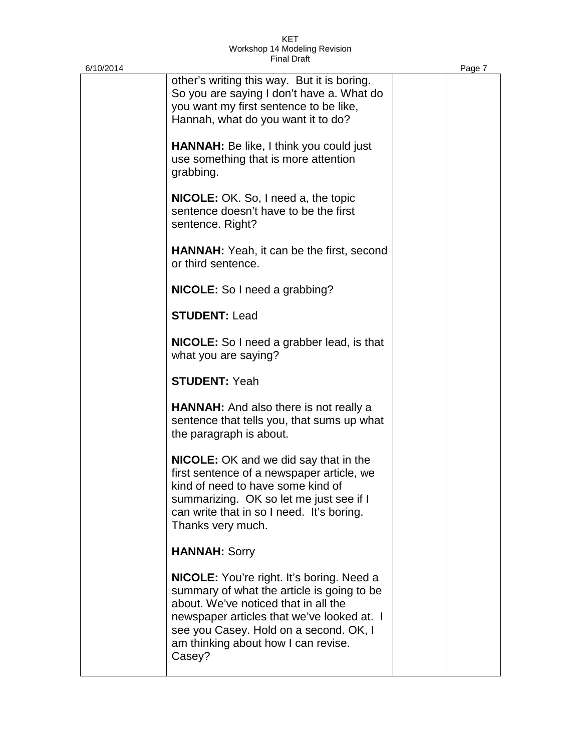| 6/10/2014 |                                                                                                                                                                                                                                                                                 | Page 7 |
|-----------|---------------------------------------------------------------------------------------------------------------------------------------------------------------------------------------------------------------------------------------------------------------------------------|--------|
|           | other's writing this way. But it is boring.<br>So you are saying I don't have a. What do<br>you want my first sentence to be like,<br>Hannah, what do you want it to do?                                                                                                        |        |
|           | <b>HANNAH:</b> Be like, I think you could just<br>use something that is more attention<br>grabbing.                                                                                                                                                                             |        |
|           | <b>NICOLE:</b> OK. So, I need a, the topic<br>sentence doesn't have to be the first<br>sentence. Right?                                                                                                                                                                         |        |
|           | <b>HANNAH:</b> Yeah, it can be the first, second<br>or third sentence.                                                                                                                                                                                                          |        |
|           | <b>NICOLE:</b> So I need a grabbing?                                                                                                                                                                                                                                            |        |
|           | <b>STUDENT: Lead</b>                                                                                                                                                                                                                                                            |        |
|           | NICOLE: So I need a grabber lead, is that<br>what you are saying?                                                                                                                                                                                                               |        |
|           | <b>STUDENT: Yeah</b>                                                                                                                                                                                                                                                            |        |
|           | <b>HANNAH:</b> And also there is not really a<br>sentence that tells you, that sums up what<br>the paragraph is about.                                                                                                                                                          |        |
|           | <b>NICOLE:</b> OK and we did say that in the<br>first sentence of a newspaper article, we<br>kind of need to have some kind of<br>summarizing. OK so let me just see if I<br>can write that in so I need. It's boring.<br>Thanks very much.                                     |        |
|           | <b>HANNAH: Sorry</b>                                                                                                                                                                                                                                                            |        |
|           | <b>NICOLE:</b> You're right. It's boring. Need a<br>summary of what the article is going to be<br>about. We've noticed that in all the<br>newspaper articles that we've looked at. I<br>see you Casey. Hold on a second. OK, I<br>am thinking about how I can revise.<br>Casey? |        |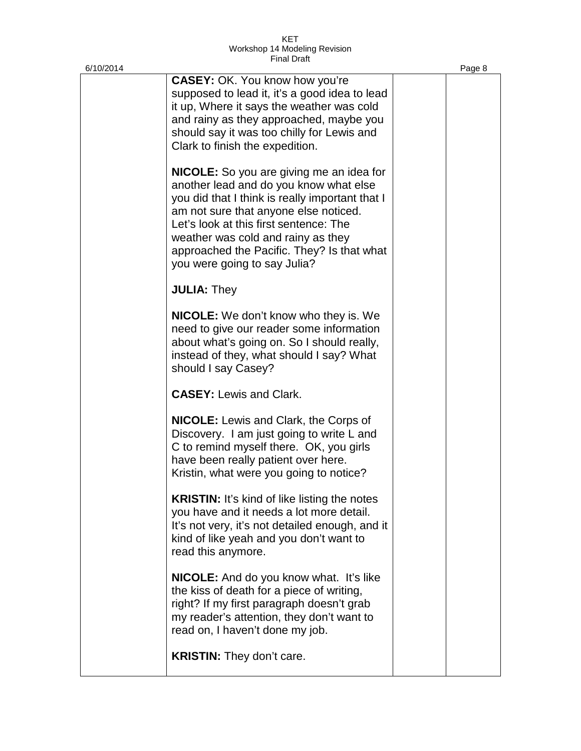| 6/10/2014 |                                                                                                                                                                                                                                                                                                                    | Page 8 |
|-----------|--------------------------------------------------------------------------------------------------------------------------------------------------------------------------------------------------------------------------------------------------------------------------------------------------------------------|--------|
|           | <b>CASEY: OK. You know how you're</b><br>supposed to lead it, it's a good idea to lead<br>it up, Where it says the weather was cold<br>and rainy as they approached, maybe you<br>should say it was too chilly for Lewis and<br>Clark to finish the expedition.<br><b>NICOLE:</b> So you are giving me an idea for |        |
|           | another lead and do you know what else<br>you did that I think is really important that I<br>am not sure that anyone else noticed.<br>Let's look at this first sentence: The<br>weather was cold and rainy as they<br>approached the Pacific. They? Is that what<br>you were going to say Julia?                   |        |
|           | <b>JULIA: They</b>                                                                                                                                                                                                                                                                                                 |        |
|           | <b>NICOLE:</b> We don't know who they is. We<br>need to give our reader some information<br>about what's going on. So I should really,<br>instead of they, what should I say? What<br>should I say Casey?                                                                                                          |        |
|           | <b>CASEY: Lewis and Clark.</b>                                                                                                                                                                                                                                                                                     |        |
|           | <b>NICOLE:</b> Lewis and Clark, the Corps of<br>Discovery. I am just going to write L and<br>C to remind myself there. OK, you girls<br>have been really patient over here.<br>Kristin, what were you going to notice?                                                                                             |        |
|           | <b>KRISTIN:</b> It's kind of like listing the notes<br>you have and it needs a lot more detail.<br>It's not very, it's not detailed enough, and it<br>kind of like yeah and you don't want to<br>read this anymore.                                                                                                |        |
|           | <b>NICOLE:</b> And do you know what. It's like<br>the kiss of death for a piece of writing,<br>right? If my first paragraph doesn't grab<br>my reader's attention, they don't want to<br>read on, I haven't done my job.                                                                                           |        |
|           | <b>KRISTIN:</b> They don't care.                                                                                                                                                                                                                                                                                   |        |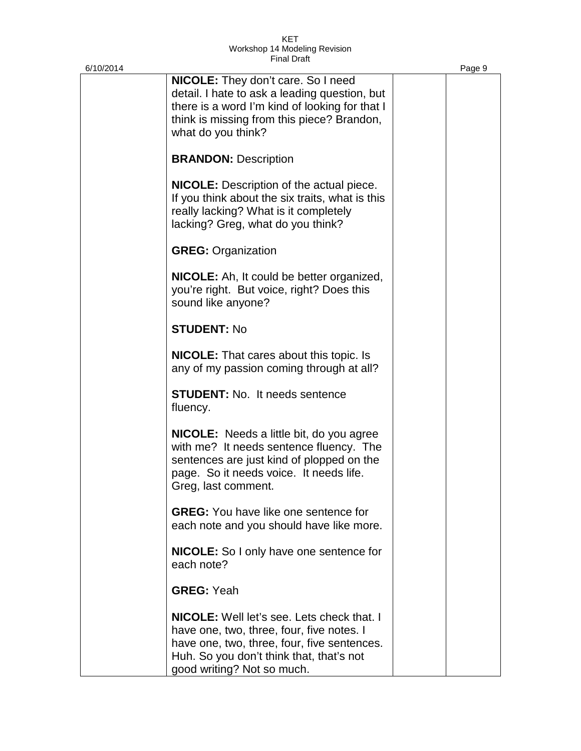| 6/10/2014 |                                                                                                                                                                                                                         | Page 9 |
|-----------|-------------------------------------------------------------------------------------------------------------------------------------------------------------------------------------------------------------------------|--------|
|           | <b>NICOLE:</b> They don't care. So I need<br>detail. I hate to ask a leading question, but<br>there is a word I'm kind of looking for that I<br>think is missing from this piece? Brandon,<br>what do you think?        |        |
|           | <b>BRANDON: Description</b>                                                                                                                                                                                             |        |
|           | <b>NICOLE:</b> Description of the actual piece.<br>If you think about the six traits, what is this<br>really lacking? What is it completely<br>lacking? Greg, what do you think?                                        |        |
|           | <b>GREG: Organization</b>                                                                                                                                                                                               |        |
|           | <b>NICOLE:</b> Ah, It could be better organized,<br>you're right. But voice, right? Does this<br>sound like anyone?                                                                                                     |        |
|           | <b>STUDENT: No</b>                                                                                                                                                                                                      |        |
|           | <b>NICOLE:</b> That cares about this topic. Is<br>any of my passion coming through at all?                                                                                                                              |        |
|           | <b>STUDENT:</b> No. It needs sentence<br>fluency.                                                                                                                                                                       |        |
|           | <b>NICOLE:</b> Needs a little bit, do you agree<br>with me? It needs sentence fluency. The<br>sentences are just kind of plopped on the<br>page. So it needs voice. It needs life.<br>Greg, last comment.               |        |
|           | <b>GREG:</b> You have like one sentence for<br>each note and you should have like more.                                                                                                                                 |        |
|           | <b>NICOLE:</b> So I only have one sentence for<br>each note?                                                                                                                                                            |        |
|           | <b>GREG: Yeah</b>                                                                                                                                                                                                       |        |
|           | <b>NICOLE:</b> Well let's see. Lets check that. I<br>have one, two, three, four, five notes. I<br>have one, two, three, four, five sentences.<br>Huh. So you don't think that, that's not<br>good writing? Not so much. |        |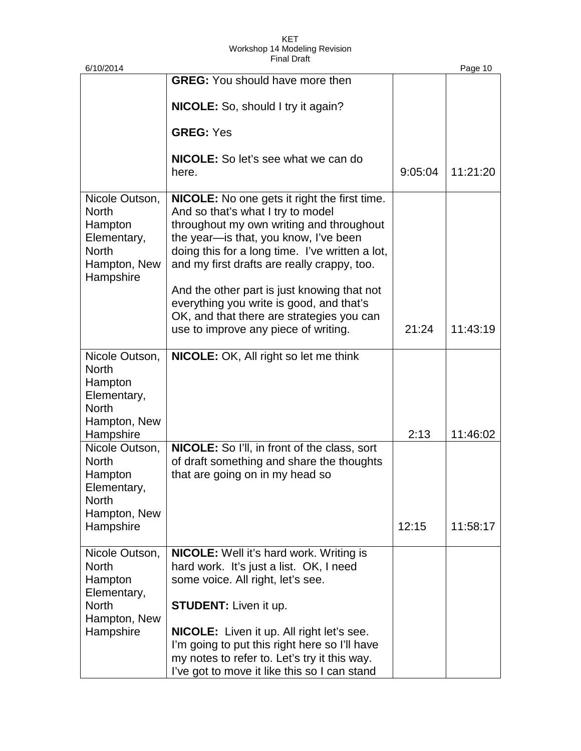| 6/10/2014                                                                                             |                                                                                                                                                                                                                                                                                                                                                                            |               | Page 10  |
|-------------------------------------------------------------------------------------------------------|----------------------------------------------------------------------------------------------------------------------------------------------------------------------------------------------------------------------------------------------------------------------------------------------------------------------------------------------------------------------------|---------------|----------|
|                                                                                                       | <b>GREG:</b> You should have more then                                                                                                                                                                                                                                                                                                                                     |               |          |
|                                                                                                       | <b>NICOLE:</b> So, should I try it again?                                                                                                                                                                                                                                                                                                                                  |               |          |
|                                                                                                       | <b>GREG: Yes</b>                                                                                                                                                                                                                                                                                                                                                           |               |          |
|                                                                                                       | <b>NICOLE:</b> So let's see what we can do<br>here.                                                                                                                                                                                                                                                                                                                        | 9:05:04       | 11:21:20 |
| Nicole Outson,<br><b>North</b><br>Hampton<br>Elementary,<br><b>North</b><br>Hampton, New<br>Hampshire | <b>NICOLE:</b> No one gets it right the first time.<br>And so that's what I try to model<br>throughout my own writing and throughout<br>the year-is that, you know, I've been<br>doing this for a long time. I've written a lot,<br>and my first drafts are really crappy, too.<br>And the other part is just knowing that not<br>everything you write is good, and that's |               |          |
|                                                                                                       | OK, and that there are strategies you can<br>use to improve any piece of writing.                                                                                                                                                                                                                                                                                          | 21:24         | 11:43:19 |
| Nicole Outson,<br><b>North</b><br>Hampton<br>Elementary,<br><b>North</b><br>Hampton, New              | NICOLE: OK, All right so let me think                                                                                                                                                                                                                                                                                                                                      |               |          |
| Hampshire<br>Nicole Outson,<br><b>North</b><br>Hampton<br>Elementary,<br><b>North</b><br>Hampton, New | NICOLE: So I'll, in front of the class, sort<br>of draft something and share the thoughts<br>that are going on in my head so                                                                                                                                                                                                                                               | 2:13<br>12:15 | 11:46:02 |
| Hampshire                                                                                             |                                                                                                                                                                                                                                                                                                                                                                            |               | 11:58:17 |
| Nicole Outson,<br><b>North</b><br>Hampton<br>Elementary,<br><b>North</b><br>Hampton, New<br>Hampshire | <b>NICOLE:</b> Well it's hard work. Writing is<br>hard work. It's just a list. OK, I need<br>some voice. All right, let's see.<br><b>STUDENT:</b> Liven it up.<br><b>NICOLE:</b> Liven it up. All right let's see.<br>I'm going to put this right here so I'll have<br>my notes to refer to. Let's try it this way.<br>I've got to move it like this so I can stand        |               |          |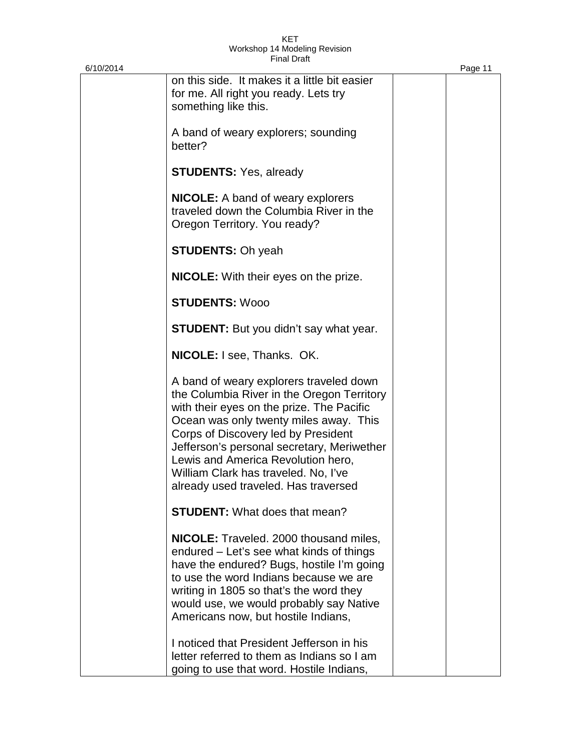| 6/10/2014 |                                                                                                                                                                                                                                                                                                                                                                                         | Page 11 |
|-----------|-----------------------------------------------------------------------------------------------------------------------------------------------------------------------------------------------------------------------------------------------------------------------------------------------------------------------------------------------------------------------------------------|---------|
|           | on this side. It makes it a little bit easier<br>for me. All right you ready. Lets try<br>something like this.                                                                                                                                                                                                                                                                          |         |
|           | A band of weary explorers; sounding<br>better?                                                                                                                                                                                                                                                                                                                                          |         |
|           | <b>STUDENTS: Yes, already</b>                                                                                                                                                                                                                                                                                                                                                           |         |
|           | <b>NICOLE:</b> A band of weary explorers<br>traveled down the Columbia River in the<br>Oregon Territory. You ready?                                                                                                                                                                                                                                                                     |         |
|           | <b>STUDENTS: Oh yeah</b>                                                                                                                                                                                                                                                                                                                                                                |         |
|           | <b>NICOLE:</b> With their eyes on the prize.                                                                                                                                                                                                                                                                                                                                            |         |
|           | <b>STUDENTS: Wooo</b>                                                                                                                                                                                                                                                                                                                                                                   |         |
|           | <b>STUDENT:</b> But you didn't say what year.                                                                                                                                                                                                                                                                                                                                           |         |
|           | <b>NICOLE:</b> I see, Thanks. OK.                                                                                                                                                                                                                                                                                                                                                       |         |
|           | A band of weary explorers traveled down<br>the Columbia River in the Oregon Territory<br>with their eyes on the prize. The Pacific<br>Ocean was only twenty miles away. This<br>Corps of Discovery led by President<br>Jefferson's personal secretary, Meriwether<br>Lewis and America Revolution hero,<br>William Clark has traveled. No, I've<br>already used traveled. Has traversed |         |
|           | <b>STUDENT:</b> What does that mean?                                                                                                                                                                                                                                                                                                                                                    |         |
|           | <b>NICOLE:</b> Traveled. 2000 thousand miles,<br>endured – Let's see what kinds of things<br>have the endured? Bugs, hostile I'm going<br>to use the word Indians because we are<br>writing in 1805 so that's the word they<br>would use, we would probably say Native<br>Americans now, but hostile Indians,                                                                           |         |
|           | I noticed that President Jefferson in his<br>letter referred to them as Indians so I am<br>going to use that word. Hostile Indians,                                                                                                                                                                                                                                                     |         |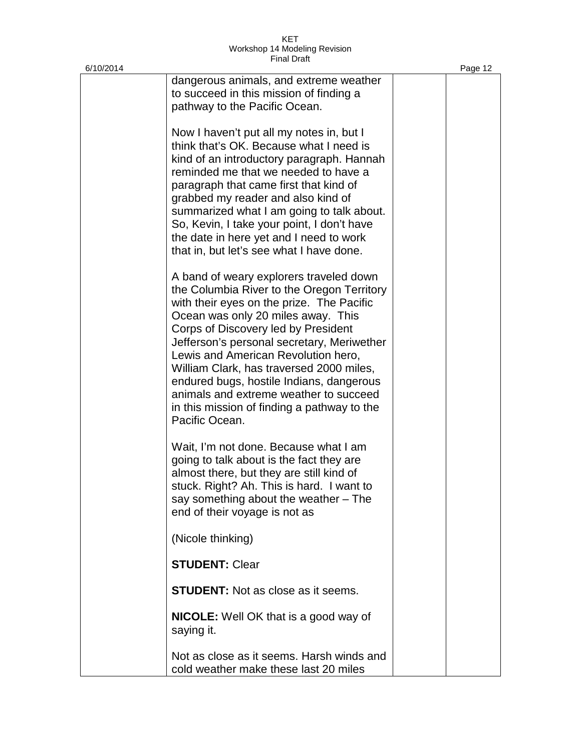| 6/10/2014 |                                                                                                                                                                                                                                                                                                                                                                                                                                                                                                         | Page 12 |
|-----------|---------------------------------------------------------------------------------------------------------------------------------------------------------------------------------------------------------------------------------------------------------------------------------------------------------------------------------------------------------------------------------------------------------------------------------------------------------------------------------------------------------|---------|
|           | dangerous animals, and extreme weather<br>to succeed in this mission of finding a<br>pathway to the Pacific Ocean.                                                                                                                                                                                                                                                                                                                                                                                      |         |
|           | Now I haven't put all my notes in, but I<br>think that's OK. Because what I need is<br>kind of an introductory paragraph. Hannah<br>reminded me that we needed to have a<br>paragraph that came first that kind of<br>grabbed my reader and also kind of<br>summarized what I am going to talk about.<br>So, Kevin, I take your point, I don't have<br>the date in here yet and I need to work<br>that in, but let's see what I have done.                                                              |         |
|           | A band of weary explorers traveled down<br>the Columbia River to the Oregon Territory<br>with their eyes on the prize. The Pacific<br>Ocean was only 20 miles away. This<br>Corps of Discovery led by President<br>Jefferson's personal secretary, Meriwether<br>Lewis and American Revolution hero,<br>William Clark, has traversed 2000 miles,<br>endured bugs, hostile Indians, dangerous<br>animals and extreme weather to succeed<br>in this mission of finding a pathway to the<br>Pacific Ocean. |         |
|           | Wait, I'm not done. Because what I am<br>going to talk about is the fact they are<br>almost there, but they are still kind of<br>stuck. Right? Ah. This is hard. I want to<br>say something about the weather – The<br>end of their voyage is not as                                                                                                                                                                                                                                                    |         |
|           | (Nicole thinking)                                                                                                                                                                                                                                                                                                                                                                                                                                                                                       |         |
|           | <b>STUDENT: Clear</b>                                                                                                                                                                                                                                                                                                                                                                                                                                                                                   |         |
|           | <b>STUDENT:</b> Not as close as it seems.                                                                                                                                                                                                                                                                                                                                                                                                                                                               |         |
|           | <b>NICOLE:</b> Well OK that is a good way of<br>saying it.                                                                                                                                                                                                                                                                                                                                                                                                                                              |         |
|           | Not as close as it seems. Harsh winds and<br>cold weather make these last 20 miles                                                                                                                                                                                                                                                                                                                                                                                                                      |         |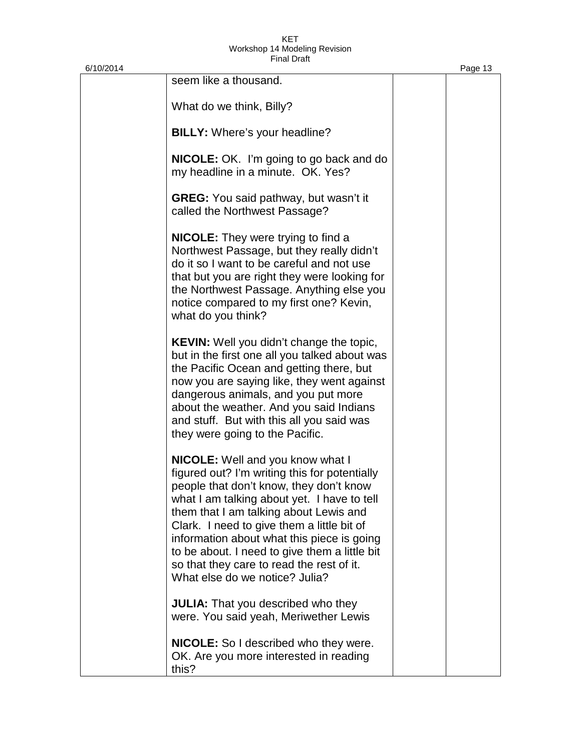| 6/10/2014 |                                                                                                                                                                                                                                                                                                                                                                                                                                                          | Page 13 |
|-----------|----------------------------------------------------------------------------------------------------------------------------------------------------------------------------------------------------------------------------------------------------------------------------------------------------------------------------------------------------------------------------------------------------------------------------------------------------------|---------|
|           | seem like a thousand.                                                                                                                                                                                                                                                                                                                                                                                                                                    |         |
|           | What do we think, Billy?                                                                                                                                                                                                                                                                                                                                                                                                                                 |         |
|           | BILLY: Where's your headline?                                                                                                                                                                                                                                                                                                                                                                                                                            |         |
|           | <b>NICOLE:</b> OK. I'm going to go back and do<br>my headline in a minute. OK. Yes?                                                                                                                                                                                                                                                                                                                                                                      |         |
|           | <b>GREG:</b> You said pathway, but wasn't it<br>called the Northwest Passage?                                                                                                                                                                                                                                                                                                                                                                            |         |
|           | <b>NICOLE:</b> They were trying to find a<br>Northwest Passage, but they really didn't<br>do it so I want to be careful and not use<br>that but you are right they were looking for<br>the Northwest Passage. Anything else you<br>notice compared to my first one? Kevin,<br>what do you think?                                                                                                                                                         |         |
|           | <b>KEVIN:</b> Well you didn't change the topic,<br>but in the first one all you talked about was<br>the Pacific Ocean and getting there, but<br>now you are saying like, they went against<br>dangerous animals, and you put more<br>about the weather. And you said Indians<br>and stuff. But with this all you said was<br>they were going to the Pacific.                                                                                             |         |
|           | <b>NICOLE:</b> Well and you know what I<br>figured out? I'm writing this for potentially<br>people that don't know, they don't know<br>what I am talking about yet. I have to tell<br>them that I am talking about Lewis and<br>Clark. I need to give them a little bit of<br>information about what this piece is going<br>to be about. I need to give them a little bit<br>so that they care to read the rest of it.<br>What else do we notice? Julia? |         |
|           | JULIA: That you described who they<br>were. You said yeah, Meriwether Lewis                                                                                                                                                                                                                                                                                                                                                                              |         |

**NICOLE:** So I described who they were. OK. Are you more interested in reading this?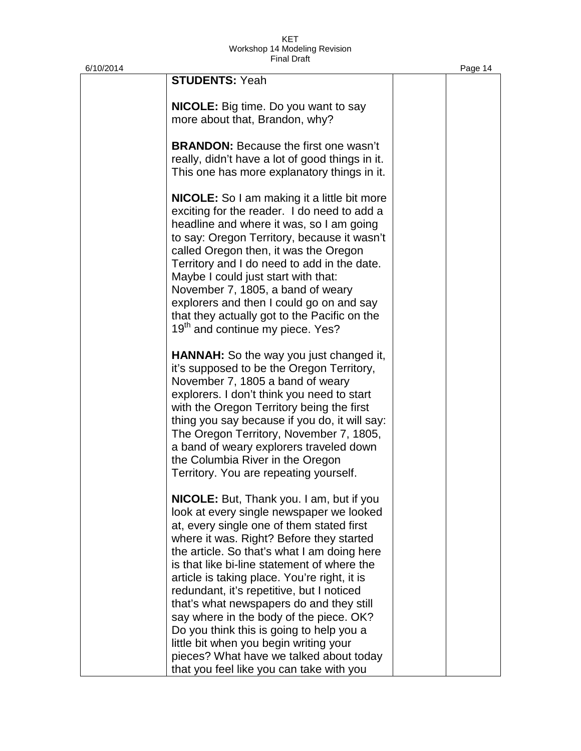| 6/10/2014 |                                                                                                                                                                                                                                                                                                                                                                                                                                                                                                                                                                                                                                                     | Page 14 |
|-----------|-----------------------------------------------------------------------------------------------------------------------------------------------------------------------------------------------------------------------------------------------------------------------------------------------------------------------------------------------------------------------------------------------------------------------------------------------------------------------------------------------------------------------------------------------------------------------------------------------------------------------------------------------------|---------|
|           | <b>STUDENTS: Yeah</b>                                                                                                                                                                                                                                                                                                                                                                                                                                                                                                                                                                                                                               |         |
|           | <b>NICOLE:</b> Big time. Do you want to say<br>more about that, Brandon, why?                                                                                                                                                                                                                                                                                                                                                                                                                                                                                                                                                                       |         |
|           | <b>BRANDON:</b> Because the first one wasn't<br>really, didn't have a lot of good things in it.<br>This one has more explanatory things in it.                                                                                                                                                                                                                                                                                                                                                                                                                                                                                                      |         |
|           | <b>NICOLE:</b> So I am making it a little bit more<br>exciting for the reader. I do need to add a<br>headline and where it was, so I am going<br>to say: Oregon Territory, because it wasn't<br>called Oregon then, it was the Oregon<br>Territory and I do need to add in the date.<br>Maybe I could just start with that:<br>November 7, 1805, a band of weary<br>explorers and then I could go on and say<br>that they actually got to the Pacific on the<br>19 <sup>th</sup> and continue my piece. Yes?                                                                                                                                        |         |
|           | <b>HANNAH:</b> So the way you just changed it,<br>it's supposed to be the Oregon Territory,<br>November 7, 1805 a band of weary<br>explorers. I don't think you need to start<br>with the Oregon Territory being the first<br>thing you say because if you do, it will say:<br>The Oregon Territory, November 7, 1805,<br>a band of weary explorers traveled down<br>the Columbia River in the Oregon<br>Territory. You are repeating yourself.                                                                                                                                                                                                     |         |
|           | <b>NICOLE:</b> But, Thank you. I am, but if you<br>look at every single newspaper we looked<br>at, every single one of them stated first<br>where it was. Right? Before they started<br>the article. So that's what I am doing here<br>is that like bi-line statement of where the<br>article is taking place. You're right, it is<br>redundant, it's repetitive, but I noticed<br>that's what newspapers do and they still<br>say where in the body of the piece. OK?<br>Do you think this is going to help you a<br>little bit when you begin writing your<br>pieces? What have we talked about today<br>that you feel like you can take with you |         |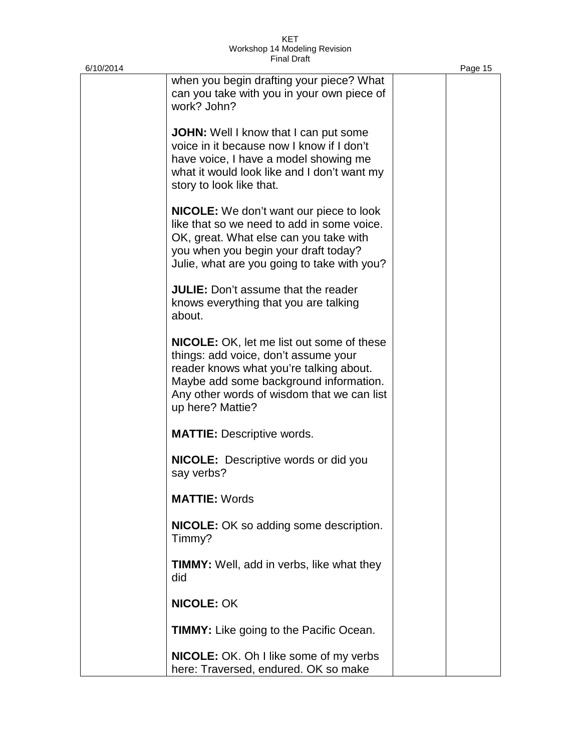| 6/10/2014 |                                                                                                                                                                                                                                                 | Page 15 |
|-----------|-------------------------------------------------------------------------------------------------------------------------------------------------------------------------------------------------------------------------------------------------|---------|
|           | when you begin drafting your piece? What<br>can you take with you in your own piece of<br>work? John?                                                                                                                                           |         |
|           | <b>JOHN:</b> Well I know that I can put some<br>voice in it because now I know if I don't<br>have voice, I have a model showing me<br>what it would look like and I don't want my<br>story to look like that.                                   |         |
|           | <b>NICOLE:</b> We don't want our piece to look<br>like that so we need to add in some voice.<br>OK, great. What else can you take with<br>you when you begin your draft today?<br>Julie, what are you going to take with you?                   |         |
|           | <b>JULIE:</b> Don't assume that the reader<br>knows everything that you are talking<br>about.                                                                                                                                                   |         |
|           | <b>NICOLE:</b> OK, let me list out some of these<br>things: add voice, don't assume your<br>reader knows what you're talking about.<br>Maybe add some background information.<br>Any other words of wisdom that we can list<br>up here? Mattie? |         |
|           | <b>MATTIE:</b> Descriptive words.                                                                                                                                                                                                               |         |
|           | <b>NICOLE:</b> Descriptive words or did you<br>say verbs?                                                                                                                                                                                       |         |
|           | <b>MATTIE: Words</b>                                                                                                                                                                                                                            |         |
|           | <b>NICOLE:</b> OK so adding some description.<br>Timmy?                                                                                                                                                                                         |         |
|           | <b>TIMMY:</b> Well, add in verbs, like what they<br>did                                                                                                                                                                                         |         |
|           | <b>NICOLE: OK</b>                                                                                                                                                                                                                               |         |
|           | <b>TIMMY:</b> Like going to the Pacific Ocean.                                                                                                                                                                                                  |         |
|           | <b>NICOLE:</b> OK. Oh I like some of my verbs<br>here: Traversed, endured. OK so make                                                                                                                                                           |         |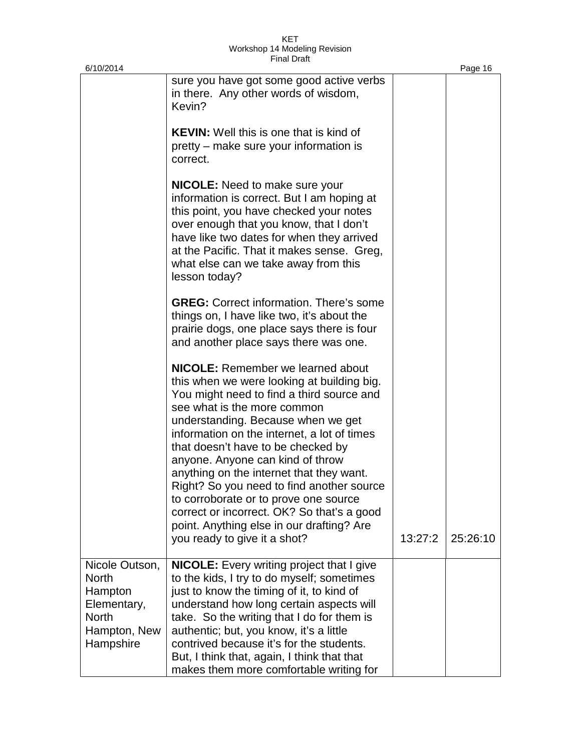| 6/10/2014                                                                                             |                                                                                                                                                                                                                                                                                                                                                                                                                                                                                                                                                                                                |         | Page 16  |
|-------------------------------------------------------------------------------------------------------|------------------------------------------------------------------------------------------------------------------------------------------------------------------------------------------------------------------------------------------------------------------------------------------------------------------------------------------------------------------------------------------------------------------------------------------------------------------------------------------------------------------------------------------------------------------------------------------------|---------|----------|
|                                                                                                       | sure you have got some good active verbs<br>in there. Any other words of wisdom,<br>Kevin?                                                                                                                                                                                                                                                                                                                                                                                                                                                                                                     |         |          |
|                                                                                                       | <b>KEVIN:</b> Well this is one that is kind of<br>pretty – make sure your information is<br>correct.                                                                                                                                                                                                                                                                                                                                                                                                                                                                                           |         |          |
|                                                                                                       | <b>NICOLE:</b> Need to make sure your<br>information is correct. But I am hoping at<br>this point, you have checked your notes<br>over enough that you know, that I don't<br>have like two dates for when they arrived<br>at the Pacific. That it makes sense. Greg,<br>what else can we take away from this<br>lesson today?                                                                                                                                                                                                                                                                  |         |          |
|                                                                                                       | <b>GREG:</b> Correct information. There's some<br>things on, I have like two, it's about the<br>prairie dogs, one place says there is four<br>and another place says there was one.                                                                                                                                                                                                                                                                                                                                                                                                            |         |          |
|                                                                                                       | <b>NICOLE:</b> Remember we learned about<br>this when we were looking at building big.<br>You might need to find a third source and<br>see what is the more common<br>understanding. Because when we get<br>information on the internet, a lot of times<br>that doesn't have to be checked by<br>anyone. Anyone can kind of throw<br>anything on the internet that they want.<br>Right? So you need to find another source<br>to corroborate or to prove one source<br>correct or incorrect. OK? So that's a good<br>point. Anything else in our drafting? Are<br>you ready to give it a shot? | 13:27:2 | 25:26:10 |
| Nicole Outson,<br><b>North</b><br>Hampton<br>Elementary,<br><b>North</b><br>Hampton, New<br>Hampshire | <b>NICOLE:</b> Every writing project that I give<br>to the kids, I try to do myself; sometimes<br>just to know the timing of it, to kind of<br>understand how long certain aspects will<br>take. So the writing that I do for them is<br>authentic; but, you know, it's a little<br>contrived because it's for the students.<br>But, I think that, again, I think that that<br>makes them more comfortable writing for                                                                                                                                                                         |         |          |